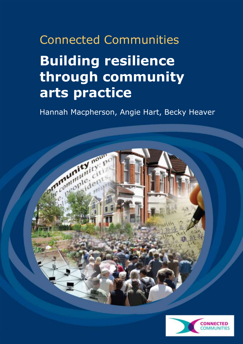# Connected Communities **Building resilience through community arts practice**

Hannah Macpherson, Angie Hart, Becky Heaver



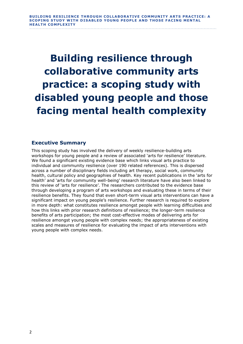**Building resilience through collaborative community arts practice: a scoping study with disabled young people and those facing mental health complexity**

# **Executive Summary**

This scoping study has involved the delivery of weekly resilience-building arts workshops for young people and a review of associated 'arts for resilience' literature. We found a significant existing evidence base which links visual arts practice to individual and community resilience (over 190 related references). This is dispersed across a number of disciplinary fields including art therapy, social work, community health, cultural policy and geographies of health. Key recent publications in the 'arts for health' and 'arts for community well-being' research literature have also been linked to this review of 'arts for resilience'. The researchers contributed to the evidence base through developing a program of arts workshops and evaluating these in terms of their resilience benefits. They found that even short-term visual arts interventions can have a significant impact on young people's resilience. Further research is required to explore in more depth: what constitutes resilience amongst people with learning difficulties and how this links with prior research definitions of resilience; the longer-term resilience benefits of arts participation; the most cost-effective modes of delivering arts for resilience amongst young people with complex needs; the appropriateness of existing scales and measures of resilience for evaluating the impact of arts interventions with young people with complex needs.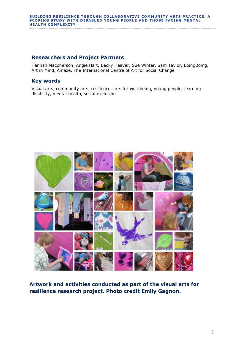## **Researchers and Project Partners**

Hannah Macpherson, Angie Hart, Becky Heaver, Sue Winter, Sam Taylor, BoingBoing, Art in Mind, Amaze, The International Centre of Art for Social Change

## **Key words**

Visual arts, community arts, resilience, arts for well-being, young people, learning disability, mental health, social exclusion



**Artwork and activities conducted as part of the visual arts for resilience research project. Photo credit Emily Gagnon.**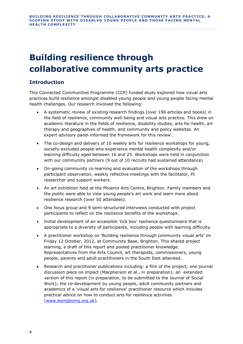# **Building resilience through collaborative community arts practice**

# **Introduction**

This Connected Communities Programme (CCP) funded study explored how visual arts practices build resilience amongst disabled young people and young people facing mental health challenges. Our research involved the following:

- A systematic review of existing research findings (over 190 articles and books) in the field of resilience, community well-being and visual arts practice. This drew on academic literature in the fields of resilience, disability studies, arts for health, art therapy and geographies of health, and community and policy websites. An expert advisory panel informed the framework for this review<sup>i</sup>.
- The co-design and delivery of 10 weekly arts for resilience workshops for young, socially-excluded people who experience mental health complexity and/or learning difficulty aged between 16 and 25. Workshops were held in conjunction with our community partners (9 out of 10 recruits had sustained attendance)
- On-going community co-learning and evaluation of the workshops through participant observation, weekly reflective meetings with the facilitator, PI researcher and support workers.
- An art exhibition held at the Phoenix Arts Centre, Brighton. Family members and the public were able to view young people's art work and learn more about resilience research (over 50 attendees).
- One focus group and 9 semi-structured interviews conducted with project participants to reflect on the resilience benefits of the workshops.
- Initial development of an accessible 'tick box' resilience questionnaire that is appropriate to a diversity of participants, including people with learning difficulty.
- A practitioner workshop on 'Building resilience through community visual arts' on Friday 12 October, 2012, at Community Base, Brighton. This shared project learning, a draft of this report and pooled practitioner knowledge. Representatives from the Arts Council, art therapists, commissioners, young people, parents and adult practitioners in the South East attended.
- Research and practitioner publications including: a film of the project; one journal discussion piece on impact (Macpherson et al., in preparation); an extended version of this report (in preparation, to be submitted to the Journal of Social Work); the co-development by young people, adult community partners and academics of a 'visual arts for resilience' practitioner resource which includes practical advice on how to conduct arts for resilience activities [\(www.boingboing.org.uk\)](http://www.boingboing.org.uk/).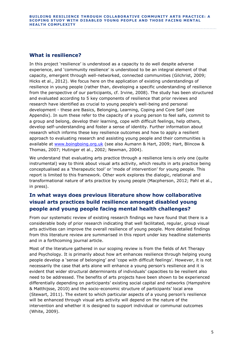# **What is resilience?**

In this project 'resilience' is understood as a capacity to do well despite adverse experience, and 'community resilience' is understood to be an integral element of that capacity, emergent through well-networked, connected communities (Gilchrist, 2009; Hicks et al., 2012). We focus here on the application of existing understandings of resilience in young people (rather than, developing a specific understanding of resilience from the perspective of our participants, cf. Irvine, 2008). The study has been structured and evaluated according to 5 key components of resilience that prior reviews and research have identified as crucial to young people's well-being and personal development - these are Basics, Belonging, Learning, Coping and Core Self (see Appendix). In sum these refer to the capacity of a young person to feel safe, commit to a group and belong, develop their learning, cope with difficult feelings, help others, develop self-understanding and foster a sense of identity. Further information about research which informs these key resilience outcomes and how to apply a resilient approach to evaluating research and assisting young people and their communities is available at [www.boingboing.org.uk](http://www.boingboing.org.uk/) (see also Aumann & Hart, 2009; Hart, Blincow & Thomas, 2007; Hutinger et al., 2002; Newman, 2004).

We understand that evaluating arts practice through a resilience lens is only one (quite instrumental) way to think about visual arts activity, which results in arts practice being conceptualised as a 'therapeutic tool' or 'mode of intervention' for young people. This report is limited to this framework. Other work explores the dialogic, relational and transformational nature of arts practice by young people (Macpherson, 2012; Pahl et al., in press).

# **In what ways does previous literature show how collaborative visual arts practices build resilience amongst disabled young people and young people facing mental health challenges?**

From our systematic review of existing research findings we have found that there is a considerable body of prior research indicating that well facilitated, regular, group visual arts activities can improve the overall resilience of young people. More detailed findings from this literature review are summarised in this report under key headline statements and in a forthcoming journal article.

Most of the literature gathered in our scoping review is from the fields of Art Therapy and Psychology. It is primarily about how art enhances resilience through helping young people develop a 'sense of belonging' and 'cope with difficult feelings'. However, it is not necessarily the case that arts alone will enhance a young person's resilience and it is evident that wider structural determinants of individuals' capacities to be resilient also need to be addressed. The benefits of arts projects have been shown to be experienced differentially depending on participants' existing social capital and networks (Hampshire & Matthijsse, 2010) and the socio-economic structure of participants' local area (Stewart, 2011). The extent to which particular aspects of a young person's resilience will be enhanced through visual arts activity will depend on the nature of the intervention and whether it is designed to support individual or communal outcomes (White, 2009).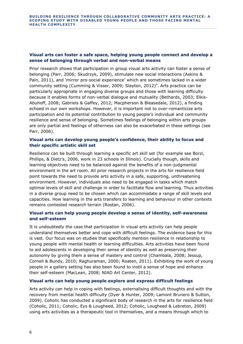#### **Visual arts can foster a safe space, helping young people connect and develop a sense of belonging through verbal and non-verbal means**

Prior research shows that participation in group visual arts activity can foster a sense of belonging (Parr, 2006; Skudrzyk, 2009), stimulate new social interactions (Askins & Pain, 2011), and 'mirror pro-social experience' which are sometimes lacked in a wider community setting (Cumming & Visser, 2009; Slayton, 2012)<sup>ii</sup>. Arts practice can be particularly appropriate in engaging diverse groups and those with learning difficulty because it enables forms of non-verbal dialogue and mutuality (Bethards, 2003; Elkis-Abuhoff, 2008; Gabriels & Gaffey, 2012; Macpherson & Bleasedale, 2012), a finding echoed in our own workshops. However, it is important not to over-romanticize arts participation and its potential contribution to young people's individual and community resilience and sense of belonging. Sometimes feelings of belonging within arts groups are only partial and feelings of otherness can also be exacerbated in these settings (see Parr, 2006).

#### **Visual arts can develop young people's confidence, their ability to focus and their specific artistic skill set**

Resilience can be built through learning a specific art skill set (for example see Borzi, Phillips, & Dietz's, 2006, work in 23 schools in Illinois). Crucially though, skills and learning objectives need to be balanced against the benefits of a non-judgmental environment in the art room. All prior research projects in the arts for resilience field point towards the need to provide arts activity in a safe, supporting, unthreatening environment. However, individuals also need to be engaged in tasks which match optimal levels of skill and challenge in order to facilitate flow and learning. Thus activities in a diverse group need to be chosen which can accommodate a range of skill levels and capacities. How learning in the arts transfers to learning and behaviour in other contexts remains contested research terrain (Rostan, 2006).

#### **Visual arts can help young people develop a sense of identity, self-awareness and self-esteem**

It is undoubtedly the case that participation in visual arts activity can help people understand themselves better and cope with difficult feelings. The evidence base for this is vast. Our focus was on studies that specifically mention resilience in relationship to young people with mental health or learning difficulties. Arts activities have been found to aid adolescents in developing their sense of identity as well as preserving their autonomy by giving them a sense of mastery and control (Chambala, 2008; Jessup, Cornell & Bundy, 2010; Raghuraman, 2000; Roaten, 2011). Exhibiting the work of young people in a gallery setting has also been found to instil a sense of hope and enhance their self-esteem (MacLean, 2008; NIAD Art Center, 2012).

#### **Visual arts can help young people explore and express difficult feelings**

Arts activity can help in coping with feelings, externalising difficult thoughts and with the recovery from mental health difficulty (Dyer & Hunter, 2009; Lamont Brunero & Sutton, 2009). Coholic has conducted a significant body of research in the arts for resilience field (Coholic, 2011; Coholic, Eys & Lougheed, 2012; Coholic, Lougheed & Lebreton, 2009) using arts activities as a therapeutic tool in themselves, and a means through which to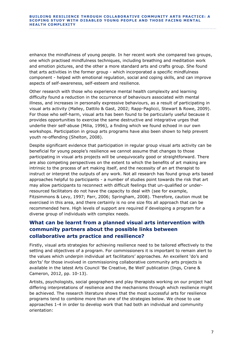enhance the mindfulness of young people. In her recent work she compared two groups, one which practised mindfulness techniques, including breathing and meditation work and emotion pictures, and the other a more standard arts and crafts group. She found that arts activities in the former group - which incorporated a specific mindfulness component - helped with emotional regulation, social and coping skills, and can improve aspects of self-awareness, self-esteem and resilience.

Other research with those who experience mental health complexity and learning difficulty found a reduction in the occurrence of behaviours associated with mental illness, and increases in personally expressive behaviours, as a result of participating in visual arts activity (Malley, Dattilo & Gast, 2002; Rapp-Paglicci, Stewart & Rowe, 2009). For those who self-harm, visual arts has been found to be particularly useful because it provides opportunities to exercise the same destructive and integrative urges that underlie their self-abuse (Milia, 1996), a finding which we found echoed in our own workshops. Participation in group arts programs have also been shown to help prevent youth re-offending (Shelton, 2008).

Despite significant evidence that participation in regular group visual arts activity can be beneficial for young people's resilience we cannot assume that changes to those participating in visual arts projects will be unequivocally good or straightforward. There are also competing perspectives on the extent to which the benefits of art making are intrinsic to the process of art making itself, and the necessity of an art therapist to instruct or interpret the outputs of any work. Not all research has found group arts based approaches helpful to participants - a number of studies point towards the risk that art may allow participants to reconnect with difficult feelings that un-qualified or underresourced facilitators do not have the capacity to deal with (see for example, Fitzsimmons & Levy, 1997; Parr, 2006; Springham, 2008). Therefore, caution must be exercised in this area, and there certainly is no one size fits all approach that can be recommended here. High levels of support are required if developing a program for a diverse group of individuals with complex needs.

# **What can be learnt from a planned visual arts intervention with community partners about the possible links between collaborative arts practice and resilience?**

Firstly, visual arts strategies for achieving resilience need to be tailored effectively to the setting and objectives of a program. For commissioners it is important to remain alert to the values which underpin individual art facilitators' approaches. An excellent 'do's and don'ts' for those involved in commissioning collaborative community arts projects is available in the latest Arts Council 'Be Creative, Be Well' publication (Ings, Crane & Cameron, 2012, pp. 10-13).

Artists, psychologists, social geographers and play therapists working on our project had differing interpretations of resilience and the mechanisms through which resilience might be achieved. The research literature shows that the most successful arts for resilience programs tend to combine more than one of the strategies below. We chose to use approaches 1-4 in order to develop work that had both an individual and community orientation: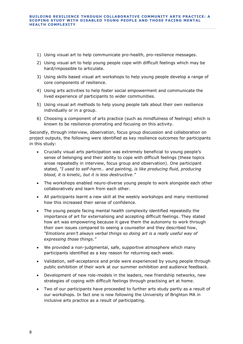- 1) Using visual art to help communicate pro-health, pro-resilience messages.
- 2) Using visual art to help young people cope with difficult feelings which may be hard/impossible to articulate.
- 3) Using skills based visual art workshops to help young people develop a range of core components of resilience.
- 4) Using arts activities to help foster social empowerment and communicate the lived experience of participants to wider communities.
- 5) Using visual art methods to help young people talk about their own resilience individually or in a group.
- 6) Choosing a component of arts practice (such as mindfulness of feelings) which is known to be resilience-promoting and focusing on this activity.

Secondly, through interview, observation, focus group discussion and collaboration on project outputs, the following were identified as key resilience outcomes for participants in this study:

- Crucially visual arts participation was extremely beneficial to young people's sense of belonging and their ability to cope with difficult feelings (these topics arose repeatedly in interview, focus group and observation). One participant stated, *"I used to self-harm… and painting, is like producing fluid, producing blood, it is kinetic, but it is less destructive."*
- The workshops enabled neuro-diverse young people to work alongside each other collaboratively and learn from each other.
- All participants learnt a new skill at the weekly workshops and many mentioned how this increased their sense of confidence.
- The young people facing mental health complexity identified repeatedly the importance of art for externalising and accepting difficult feelings. They stated how art was empowering because it gave them the autonomy to work through their own issues compared to seeing a counsellor and they described how, *"Emotions aren't always verbal things so doing art is a really useful way of expressing those things."*
- We provided a non-judgmental, safe, supportive atmosphere which many participants identified as a key reason for returning each week.
- Validation, self-acceptance and pride were experienced by young people through public exhibition of their work at our summer exhibition and audience feedback.
- Development of new role-models in the leaders, new friendship networks, new strategies of coping with difficult feelings through practising art at home.
- Two of our participants have proceeded to further arts study partly as a result of our workshops. In fact one is now following the University of Brighton MA in inclusive arts practice as a result of participating.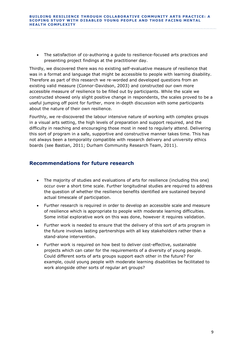The satisfaction of co-authoring a guide to resilience-focused arts practices and presenting project findings at the practitioner day.

Thirdly, we discovered there was no existing self-evaluative measure of resilience that was in a format and language that might be accessible to people with learning disability. Therefore as part of this research we re-worded and developed questions from an existing valid measure (Connor-Davidson, 2003) and constructed our own more accessible measure of resilience to be filled out by participants. While the scale we constructed showed only slight positive change in respondents, the scales proved to be a useful jumping off point for further, more in-depth discussion with some participants about the nature of their own resilience.

Fourthly, we re-discovered the labour intensive nature of working with complex groups in a visual arts setting, the high levels of preparation and support required, and the difficulty in reaching and encouraging those most in need to regularly attend. Delivering this sort of program in a safe, supportive and constructive manner takes time. This has not always been a temporality compatible with research delivery and university ethics boards (see Bastian, 2011; Durham Community Research Team, 2011).

## **Recommendations for future research**

- The majority of studies and evaluations of arts for resilience (including this one) occur over a short time scale. Further longitudinal studies are required to address the question of whether the resilience benefits identified are sustained beyond actual timescale of participation.
- Further research is required in order to develop an accessible scale and measure of resilience which is appropriate to people with moderate learning difficulties. Some initial explorative work on this was done, however it requires validation.
- Further work is needed to ensure that the delivery of this sort of arts program in the future involves lasting partnerships with all key stakeholders rather than a stand-alone intervention.
- Further work is required on how best to deliver cost-effective, sustainable projects which can cater for the requirements of a diversity of young people. Could different sorts of arts groups support each other in the future? For example, could young people with moderate learning disabilities be facilitated to work alongside other sorts of regular art groups?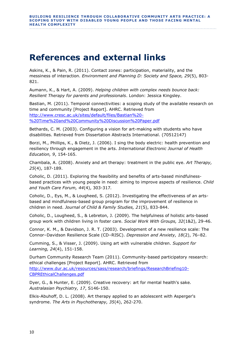# **References and external links**

Askins, K., & Pain, R. (2011). Contact zones: participation, materiality, and the messiness of interaction. *Environment and Planning D: Society and Space, 29*(5), 803- 821.

Aumann, K., & Hart, A. (2009). *Helping children with complex needs bounce back: Resilient Therapy for parents and professionals*. London: Jessica Kingsley.

Bastian, M. (2011). Temporal connectivities: a scoping study of the available research on time and community [Project Report]. AHRC. Retrieved from [http://www.cresc.ac.uk/sites/default/files/Bastian%20-](http://www.cresc.ac.uk/sites/default/files/Bastian%20-%20Time%20and%20Community%20Discussion%20Paper.pdf) [%20Time%20and%20Community%20Discussion%20Paper.pdf](http://www.cresc.ac.uk/sites/default/files/Bastian%20-%20Time%20and%20Community%20Discussion%20Paper.pdf)

Bethards, C. M. (2003). Configuring a vision for art-making with students who have disabilities. Retrieved from Dissertation Abstracts International. (70512147)

Borzi, M., Phillips, K., & Dietz, J. (2006). I sing the body electric: health prevention and resiliency through engagement in the arts. *International Electronic Journal of Health Education, 9*, 154-165.

Chambala, A. (2008). Anxiety and art therapy: treatment in the public eye. *Art Therapy, 25*(4), 187-189.

Coholic, D. (2011). Exploring the feasibility and benefits of arts-based mindfulnessbased practices with young people in need: aiming to improve aspects of resilience. *Child and Youth Care Forum, 44*(4), 303-317*.*

Coholic, D., Eys, M., & Lougheed, S. (2012). Investigating the effectiveness of an artsbased and mindfulness-based group program for the improvement of resilience in children in need. *Journal of Child & Family Studies, 21*(5), 833-844.

Coholic, D., Lougheed, S., & Lebreton, J. (2009). The helpfulness of holistic arts-based group work with children living in foster care. *Social Work With Groups, 32*(1&2), 29-46.

Connor, K. M., & Davidson, J. R. T. (2003). Development of a new resilience scale: The Connor–Davidson Resilience Scale (CD–RISC). *Depression and Anxiety, 18*(2), 76–82.

Cumming, S., & Visser, J. (2009). Using art with vulnerable children. *Support for Learning, 24*(4), 151-158.

Durham Community Research Team (2011). Community-based participatory research: ethical challenges [Project Report]. AHRC. Retrieved from [http://www.dur.ac.uk/resources/sass/research/briefings/ResearchBriefing10-](http://www.dur.ac.uk/resources/sass/research/briefings/ResearchBriefing10-CBPREthicalChallenges.pdf) [CBPREthicalChallenges.pdf](http://www.dur.ac.uk/resources/sass/research/briefings/ResearchBriefing10-CBPREthicalChallenges.pdf)

Dyer, G., & Hunter, E. (2009). Creative recovery: art for mental health's sake. *Australasian Psychiatry, 17*, S146-150.

Elkis-Abuhoff, D. L. (2008). Art therapy applied to an adolescent with Asperger's syndrome. *The Arts in Psychotherapy, 35*(4), 262-270.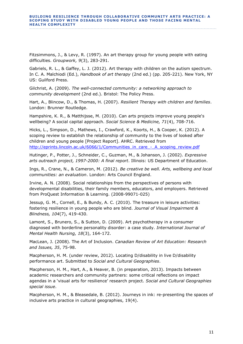Fitzsimmons, J., & Levy, R. (1997). An art therapy group for young people with eating difficulties. *Groupwork, 9*(3), 283-291.

Gabriels, R. L., & Gaffey, L. J. (2012). Art therapy with children on the autism spectrum. In C. A. Malchiodi (Ed.), *Handbook of art therapy* (2nd ed.) (pp. 205-221). New York, NY US: Guilford Press.

Gilchrist, A. (2009). *The well-connected community: a networking approach to community development* (2nd ed.). Bristol: The Policy Press.

Hart, A., Blincow, D., & Thomas, H. (2007). *Resilient Therapy with children and families*. London: Brunner Routledge.

Hampshire, K. R., & Matthijsse, M. (2010). Can arts projects improve young people's wellbeing? A social capital approach. *Social Science & Medicine, 71*(4), 708-716.

Hicks, L., Simpson, D., Mathews, I., Crawford, K., Koorts, H., & Cooper, K. (2012). A scoping review to establish the relationship of community to the lives of looked after children and young people [Project Report]. AHRC. Retrieved from [http://eprints.lincoln.ac.uk/6066/1/Communities\\_in\\_care\\_-\\_A\\_scoping\\_review.pdf](http://eprints.lincoln.ac.uk/6066/1/Communities_in_care_-_A_scoping_review.pdf)

Hutinger, P., Potter, J., Schneider, C., Guzman, M., & Johanson, J. (2002). *Expressive arts outreach project, 1997-2000: A final report*. Illinois: US Department of Education.

Ings, R., Crane, N., & Cameron, M. (2012). *Be creative be well. Arts, wellbeing and local communities: an evaluation*. London: Arts Council England.

Irvine, A. N. (2008). Social relationships from the perspectives of persons with developmental disabilities, their family members, educators, and employers. Retrieved from ProQuest Information & Learning. (2008-99071-025)

Jessup, G. M., Cornell, E., & Bundy, A. C. (2010). The treasure in leisure activities: fostering resilience in young people who are blind. *Journal of Visual Impairment & Blindness, 104*(7), 419-430.

Lamont, S., Brunero, S., & Sutton, D. (2009). Art psychotherapy in a consumer diagnosed with borderline personality disorder: a case study. *International Journal of Mental Health Nursing, 18*(3), 164-172.

MacLean, J. (2008). The Art of Inclusion. *Canadian Review of Art Education: Research and Issues, 35*, 75-98.

Macpherson, H. M. (under review, 2012). Locating D/disability in live D/disability performance art. Submitted to *Social and Cultural Geographies*.

Macpherson, H. M., Hart, A., & Heaver, B. (in preparation, 2013). Impacts between academic researchers and community partners: some critical reflections on impact agendas in a 'visual arts for resilience' research project. *Social and Cultural Geographies special issue*.

Macpherson, H. M., & Bleasedale, B. (2012). Journeys in ink: re-presenting the spaces of inclusive arts practice in cultural geographies, 19(4).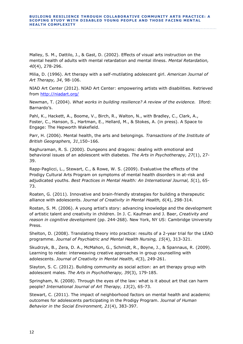Malley, S. M., Dattilo, J., & Gast, D. (2002). Effects of visual arts instruction on the mental health of adults with mental retardation and mental illness. *Mental Retardation, 40*(4), 278-296.

Milia, D. (1996). Art therapy with a self-mutilating adolescent girl. *American Journal of Art Therapy, 34*, 98-106.

NIAD Art Center (2012). NIAD Art Center: empowering artists with disabilities. Retrieved from<http://niadart.org/>

Newman, T. (2004). *What works in building resilience? A review of the evidence.* Ilford: Barnardo's.

Pahl, K., Hackett, A., Boome, V., Birch, R., Walton, N., with Bradley, C., Clark, A., Foster, C., Hanson, S., Hartman, E., Hellard, M., & Stokes, A. (in press). A Space to Engage: The Hepworth Wakefield.

Parr, H. (2006). Mental health, the arts and belongings. *Transactions of the Institute of British Geographers, 31*,150–166.

Raghuraman, R. S. (2000). Dungeons and dragons: dealing with emotional and behavioral issues of an adolescent with diabetes. *The Arts in Psychotherapy, 27*(1), 27- 39.

Rapp-Paglicci, L., Stewart, C., & Rowe, W. S. (2009). Evaluative the effects of the Prodigy Cultural Arts Program on symptoms of mental health disorders in at-risk and adjudicated youths. *Best Practices in Mental Health: An International Journal, 5*(1), 65- 73.

Roaten, G. (2011). Innovative and brain-friendly strategies for building a therapeutic alliance with adolescents. *Journal of Creativity in Mental Health, 6*(4), 298-314.

Rostan, S. M. (2006). A young artist's story: advancing knowledge and the development of artistic talent and creativity in children. In J. C. Kaufman and J. Baer, *Creativity and reason in cognitive development* (pp. 244-268). New York, NY US: Cambridge University Press.

Shelton, D. (2008). Translating theory into practice: results of a 2-year trial for the LEAD programme. *Journal of Psychiatric and Mental Health Nursing, 15*(4), 313-321.

Skudrzyk, B., Zera, D. A., McMahon, G., Schmidt, R., Boyne, J., & Spannaus, R. (2009). Learning to relate: interweaving creative approaches in group counselling with adolescents. *Journal of Creativity in Mental Health, 4*(3), 249-261.

Slayton, S. C. (2012). Building community as social action: an art therapy group with adolescent males. *The Arts in Psychotherapy, 39*(3), 179-185.

Springham, N. (2008). Through the eyes of the law: what is it about art that can harm people? *International Journal of Art Therapy, 13*(2), 65-73.

Stewart, C. (2011). The impact of neighborhood factors on mental health and academic outcomes for adolescents participating in the Prodigy Program. *Journal of Human Behavior in the Social Environment, 21*(4), 383-397.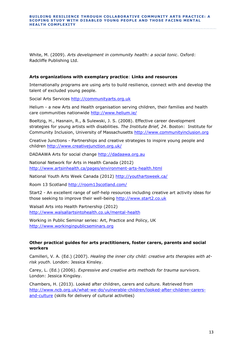#### **BUILDING RESILIENCE THROUGH COLLABORATIVE COMMUNITY ARTS PRACTICE: A SCOPING STUDY WITH DISABLED YOUNG PEOPLE AND THOSE FACING MENTAL HEALTH COMPLEX IT Y**

White, M. (2009). *Arts development in community health: a social tonic*. Oxford: Radcliffe Publishing Ltd.

#### **Arts organizations with exemplary practice**: **Links and resources**

Internationally programs are using arts to build resilience, connect with and develop the talent of excluded young people.

Social Arts Services [http://communityarts.org.uk](http://communityarts.org.uk/)

Helium - a new Arts and Health organisation serving children, their families and health care communities nationwide<http://www.helium.ie/>

Boeltzig, H., Hasnain, R., & Sulewski, J. S. (2008). Effective career development strategies for young artists with disabilities. *The Institute Brief, 24*. Boston: Institute for Community Inclusion, University of Massachusetts [http://www.communityinclusion.org](http://www.communityinclusion.org/)

Creative Junctions - Partnerships and creative strategies to inspire young people and children<http://www.creativejunction.org.uk/>

DADAAWA Arts for social change [http://dadaawa.org.au](http://dadaawa.org.au/)

National Network for Arts in Health Canada (2012) <http://www.artsinhealth.ca/pages/environment-arts-health.html>

National Youth Arts Week Canada (2012)<http://youthartsweek.ca/>

Room 13 Scotland<http://room13scotland.com/>

Start2 - An excellent range of self-help resources including creative art activity ideas for those seeking to improve their well-being [http://www.start2.co.uk](http://www.start2.co.uk/)

Walsall Arts into Health Partnership (2012) <http://www.walsallartsintohealth.co.uk/mental-health>

Working in Public Seminar series: Art, Practice and Policy, UK [http://www.workinginpublicseminars.org](http://www.workinginpublicseminars.org/)

#### **Other practical guides for arts practitioners, foster carers, parents and social workers**

Camilleri, V. A. (Ed.) (2007). *Healing the inner city child: creative arts therapies with atrisk youth*. London: Jessica Kinsley.

Carey, L. (Ed.) (2006). *Expressive and creative arts methods for trauma survivors*. London: Jessica Kingsley.

Chambers, H. (2013). Looked after children, carers and culture. Retrieved from [http://www.ncb.org.uk/what-we-do/vulnerable-children/looked-after-children-carers](http://www.ncb.org.uk/what-we-do/vulnerable-children/looked-after-children-carers-and-culture)[and-culture](http://www.ncb.org.uk/what-we-do/vulnerable-children/looked-after-children-carers-and-culture) (skills for delivery of cultural activities)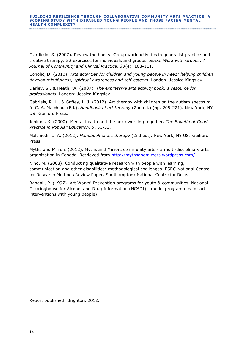Ciardiello, S. (2007). Review the books: Group work activities in generalist practice and creative therapy: 52 exercises for individuals and groups. *Social Work with Groups: A Journal of Community and Clinical Practice, 30*(4), 108-111.

Coholic, D. (2010). *Arts activities for children and young people in need: helping children develop mindfulness, spiritual awareness and self-esteem*. London: Jessica Kingsley.

Darley, S., & Heath, W. (2007). *The expressive arts activity book: a resource for professionals*. London: Jessica Kingsley.

Gabriels, R. L., & Gaffey, L. J. (2012). Art therapy with children on the autism spectrum. In C. A. Malchiodi (Ed.), *Handbook of art therapy* (2nd ed.) (pp. 205-221). New York, NY US: Guilford Press.

Jenkins, K. (2000). Mental health and the arts: working together. *The Bulletin of Good Practice in Popular Education, 5*, 51-53.

Malchiodi, C. A. (2012). *Handbook of art therapy* (2nd ed.). New York, NY US: Guilford Press.

Myths and Mirrors (2012). Myths and Mirrors community arts - a multi-disciplinary arts organization in Canada. Retrieved from<http://mythsandmirrors.wordpress.com/>

Nind, M. (2008). Conducting qualitative research with people with learning, communication and other disabilities: methodological challenges. ESRC National Centre for Research Methods Review Paper. Southampton: National Centre for Rese.

Randall, P. (1997). Art Works! Prevention programs for youth & communities. National Clearinghouse for Alcohol and Drug Information (NCADI). (model programmes for art interventions with young people)

Report published: Brighton, 2012.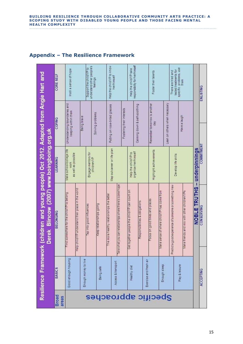#### **BUILDING RESILIENCE THROUGH COLLABORATIVE COMMUNITY ARTS PRACTICE: A SCOPING STUDY WITH DISABLED YOUNG PEOPLE AND THOSE FACING MENTAL HEALTH COMPLEXITY**

|                                                                                                                                         | <b>CORE SELF</b>      | Instil a sense of hope                                                                        | Support the child/YP to  | understandother people's<br>feelings |  | Help the child/YP to know<br>her/himself  |                                                          | responsibility for healtimself<br>Help the child/YP take |                                |                        | Foster their talents                |                                           | specific problems, use<br>tested treatments for<br>There are tried and<br>them |                                             | <b>ENLISTING</b>                           |  |
|-----------------------------------------------------------------------------------------------------------------------------------------|-----------------------|-----------------------------------------------------------------------------------------------|--------------------------|--------------------------------------|--|-------------------------------------------|----------------------------------------------------------|----------------------------------------------------------|--------------------------------|------------------------|-------------------------------------|-------------------------------------------|--------------------------------------------------------------------------------|---------------------------------------------|--------------------------------------------|--|
| (children and young people) Oct 2012. Adapted from Angie Hart and<br>Derek Blincow (2007) www.boingboing.org.uk<br>Resilience Framework | <b>COPING</b>         | Understanding boundaries and<br>keeping within them                                           | Being brave              | Solving problems                     |  | Putting on rose-tinted glasses            | Fostering their interests                                |                                                          | Calming down & self-soothing   |                        | Remember tomorrow is another<br>day | Lean on others when necessary             |                                                                                | Have a laugh                                |                                            |  |
|                                                                                                                                         | LEARNING              | Make school/college life<br>as well as possible<br>WOrk                                       |                          | Engage mentors for<br>children/YP    |  | Map out career or life plan               |                                                          | organise her/himself<br>Help the child/YP to             |                                |                        | Highlight achievements              |                                           | Develop life skills                                                            |                                             | <b>COMMITMENT</b>                          |  |
|                                                                                                                                         | <b>BELONGING</b>      | Help child/YP understand their place in the world<br>ind somewhere for the child/YP to belong | Tap into good influences | Keep relationships going             |  | The more healthy relationships the better | Take what you can relationships where there is some hope | Get together people the child/YP can count on            | Responsibilities & obligations |                        | Focus on good times and places      | ake sense of where child/YP has come from | a good experience of someone or something new<br>Predict                       | ake friends and mix with other children/YPs | NOBLE TRUTHS - underpinnings<br>CONSERVING |  |
|                                                                                                                                         | <b>BASICS</b>         | Good enough housing<br>Enough money to live                                                   |                          | Being safe                           |  | Access & transport                        |                                                          | Healthy diet                                             |                                | Exercise and fresh air |                                     | Enough sleep                              |                                                                                | Play & leisure                              | ACCEPTING                                  |  |
|                                                                                                                                         | <b>Broad</b><br>areas | Specific approaches                                                                           |                          |                                      |  |                                           |                                                          |                                                          |                                |                        |                                     |                                           |                                                                                |                                             |                                            |  |

# **Appendix – The Resilience Framework**